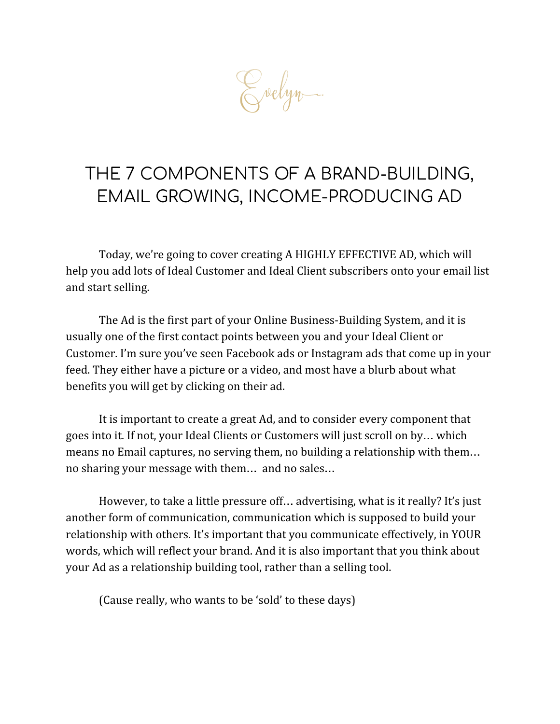Zvelyn.

# THE 7 COMPONENTS OF A BRAND-BUILDING, EMAIL GROWING, INCOME-PRODUCING AD

Today, we're going to cover creating A HIGHLY EFFECTIVE AD, which will help you add lots of Ideal Customer and Ideal Client subscribers onto your email list and start selling.

The Ad is the first part of your Online Business-Building System, and it is usually one of the first contact points between you and your Ideal Client or Customer. I'm sure you've seen Facebook ads or Instagram ads that come up in your feed. They either have a picture or a video, and most have a blurb about what benefits you will get by clicking on their ad.

It is important to create a great Ad, and to consider every component that goes into it. If not, your Ideal Clients or Customers will just scroll on by… which means no Email captures, no serving them, no building a relationship with them… no sharing your message with them… and no sales…

However, to take a little pressure off… advertising, what is it really? It's just another form of communication, communication which is supposed to build your relationship with others. It's important that you communicate effectively, in YOUR words, which will reflect your brand. And it is also important that you think about your Ad as a relationship building tool, rather than a selling tool.

(Cause really, who wants to be 'sold' to these days)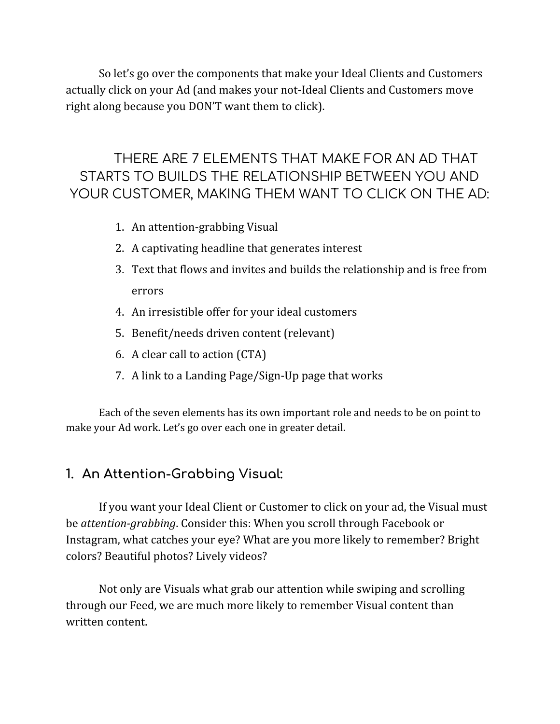So let's go over the components that make your Ideal Clients and Customers actually click on your Ad (and makes your not-Ideal Clients and Customers move right along because you DON'T want them to click).

# THERE ARE 7 ELEMENTS THAT MAKE FOR AN AD THAT STARTS TO BUILDS THE RELATIONSHIP BETWEEN YOU AND YOUR CUSTOMER, MAKING THEM WANT TO CLICK ON THE AD:

- 1. An attention-grabbing Visual
- 2. A captivating headline that generates interest
- 3. Text that flows and invites and builds the relationship and is free from errors
- 4. An irresistible offer for your ideal customers
- 5. Benefit/needs driven content (relevant)
- 6. A clear call to action (CTA)
- 7. A link to a Landing Page/Sign-Up page that works

Each of the seven elements has its own important role and needs to be on point to make your Ad work. Let's go over each one in greater detail.

# **1. An Attention-Grabbing Visual:**

If you want your Ideal Client or Customer to click on your ad, the Visual must be *attention-grabbing*. Consider this: When you scroll through Facebook or Instagram, what catches your eye? What are you more likely to remember? Bright colors? Beautiful photos? Lively videos?

Not only are Visuals what grab our attention while swiping and scrolling through our Feed, we are much more likely to remember Visual content than written content.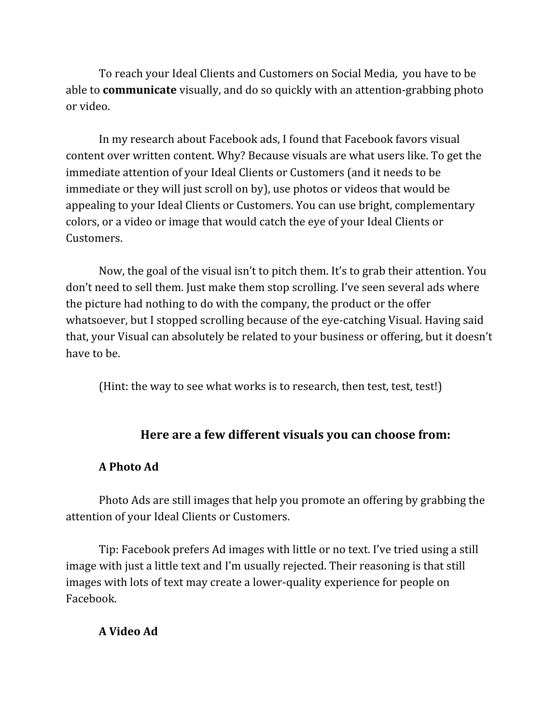To reach your Ideal Clients and Customers on Social Media, you have to be able to **communicate** visually, and do so quickly with an attention-grabbing photo or video.

In my research about Facebook ads, I found that Facebook favors visual content over written content. Why? Because visuals are what users like. To get the immediate attention of your Ideal Clients or Customers (and it needs to be immediate or they will just scroll on by), use photos or videos that would be appealing to your Ideal Clients or Customers. You can use bright, complementary colors, or a video or image that would catch the eye of your Ideal Clients or Customers.

Now, the goal of the visual isn't to pitch them. It's to grab their attention. You don't need to sell them. Just make them stop scrolling. I've seen several ads where the picture had nothing to do with the company, the product or the offer whatsoever, but I stopped scrolling because of the eye-catching Visual. Having said that, your Visual can absolutely be related to your business or offering, but it doesn't have to be.

(Hint: the way to see what works is to research, then test, test, test!)

## **Here are a few different visuals you can choose from:**

#### **A Photo Ad**

Photo Ads are still images that help you promote an offering by grabbing the attention of your Ideal Clients or Customers.

Tip: Facebook prefers Ad images with little or no text. I've tried using a still image with just a little text and I'm usually rejected. Their reasoning is that still images with lots of text may create a lower-quality experience for people on Facebook.

#### **A Video Ad**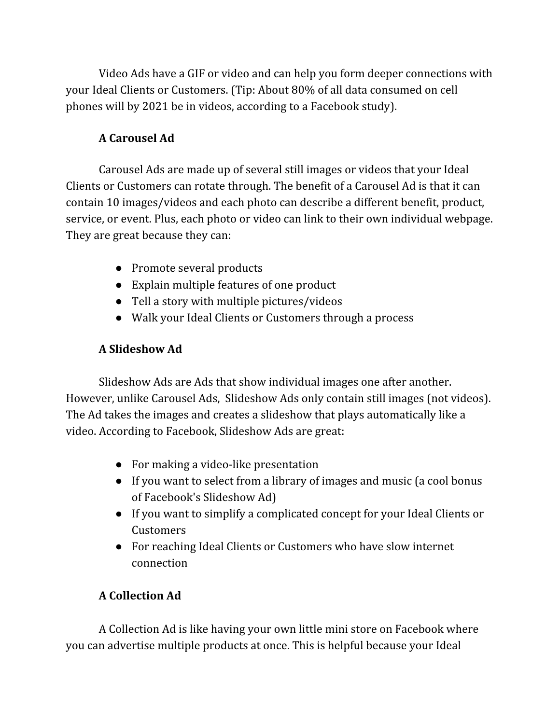Video Ads have a GIF or video and can help you form deeper connections with your Ideal Clients or Customers. (Tip: About 80% of all data consumed on cell phones will by 2021 be in videos, according to a Facebook study).

### **A Carousel Ad**

Carousel Ads are made up of several still images or videos that your Ideal Clients or Customers can rotate through. The benefit of a Carousel Ad is that it can contain 10 images/videos and each photo can describe a different benefit, product, service, or event. Plus, each photo or video can link to their own individual webpage. They are great because they can:

- Promote several products
- Explain multiple features of one product
- Tell a story with multiple pictures/videos
- Walk your Ideal Clients or Customers through a process

# **A Slideshow Ad**

Slideshow Ads are Ads that show individual images one after another. However, unlike Carousel Ads, Slideshow Ads only contain still images (not videos). The Ad takes the images and creates a slideshow that plays automatically like a video. According to Facebook, Slideshow Ads are great:

- For making a video-like presentation
- If you want to select from a library of images and music (a cool bonus of Facebook's Slideshow Ad)
- If you want to simplify a complicated concept for your Ideal Clients or Customers
- For reaching Ideal Clients or Customers who have slow internet connection

# **A Collection Ad**

A Collection Ad is like having your own little mini store on Facebook where you can advertise multiple products at once. This is helpful because your Ideal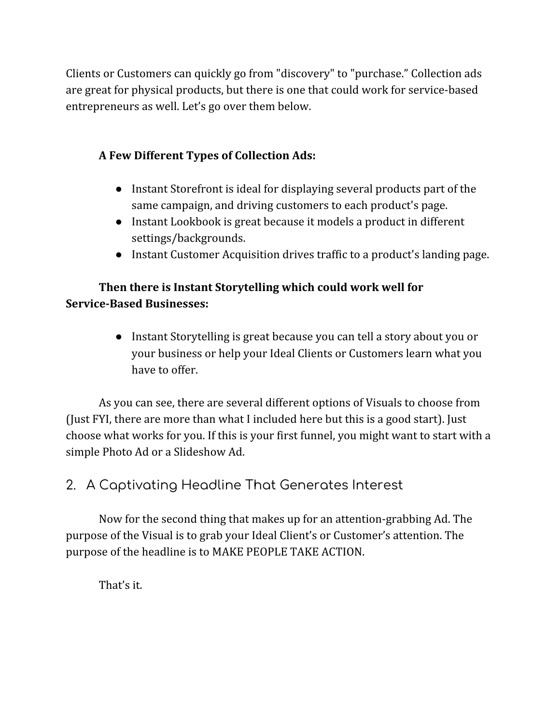Clients or Customers can quickly go from "discovery" to "purchase." Collection ads are great for physical products, but there is one that could work for service-based entrepreneurs as well. Let's go over them below.

### **A Few Different Types of Collection Ads:**

- Instant Storefront is ideal for displaying several products part of the same campaign, and driving customers to each product's page.
- Instant Lookbook is great because it models a product in different settings/backgrounds.
- Instant Customer Acquisition drives traffic to a product's landing page.

### **Then there is Instant Storytelling which could work well for Service-Based Businesses:**

● Instant Storytelling is great because you can tell a story about you or your business or help your Ideal Clients or Customers learn what you have to offer.

As you can see, there are several different options of Visuals to choose from (Just FYI, there are more than what I included here but this is a good start). Just choose what works for you. If this is your first funnel, you might want to start with a simple Photo Ad or a Slideshow Ad.

# 2. A Captivating Headline That Generates Interest

Now for the second thing that makes up for an attention-grabbing Ad. The purpose of the Visual is to grab your Ideal Client's or Customer's attention. The purpose of the headline is to MAKE PEOPLE TAKE ACTION.

That's it.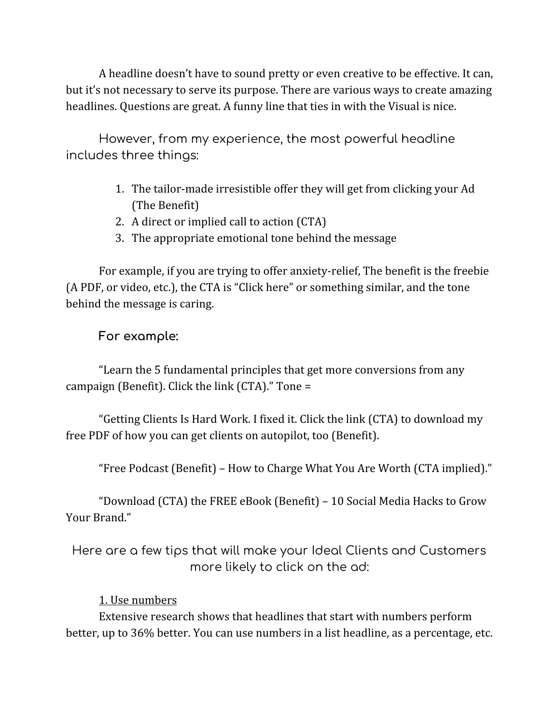A headline doesn't have to sound pretty or even creative to be effective. It can, but it's not necessary to serve its purpose. There are various ways to create amazing headlines. Questions are great. A funny line that ties in with the Visual is nice.

However, from my experience, the most powerful headline includes three things:

- 1. The tailor-made irresistible offer they will get from clicking your Ad (The Benefit)
- 2. A direct or implied call to action (CTA)
- 3. The appropriate emotional tone behind the message

For example, if you are trying to offer anxiety-relief, The benefit is the freebie (A PDF, or video, etc.), the CTA is "Click here" or something similar, and the tone behind the message is caring.

# **For example:**

"Learn the 5 fundamental principles that get more conversions from any campaign (Benefit). Click the link (CTA)." Tone =

"Getting Clients Is Hard Work. I fixed it. Click the link (CTA) to download my free PDF of how you can get clients on autopilot, too (Benefit).

"Free Podcast (Benefit) – How to Charge What You Are Worth (CTA implied)."

"Download (CTA) the FREE eBook (Benefit) – 10 Social Media Hacks to Grow Your Brand."

Here are a few tips that will make your Ideal Clients and Customers more likely to click on the ad:

## 1. Use numbers

Extensive research shows that headlines that start with numbers perform better, up to 36% better. You can use numbers in a list headline, as a percentage, etc.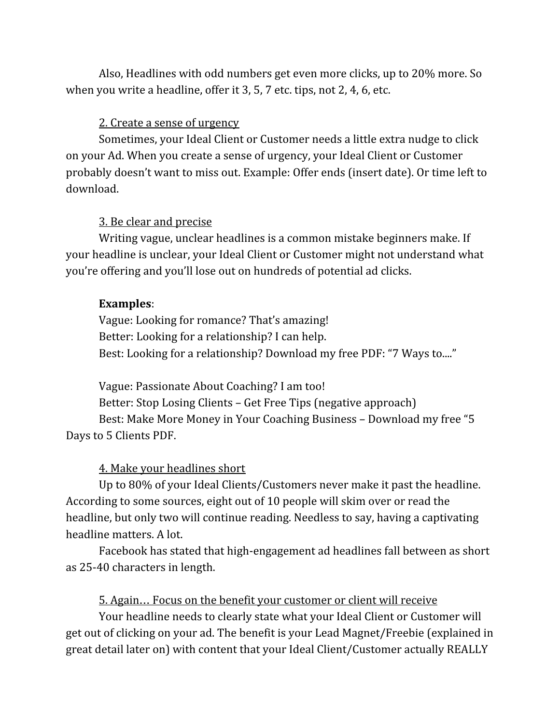Also, Headlines with odd numbers get even more clicks, up to 20% more. So when you write a headline, offer it 3, 5, 7 etc. tips, not 2, 4, 6, etc.

#### 2. Create a sense of urgency

Sometimes, your Ideal Client or Customer needs a little extra nudge to click on your Ad. When you create a sense of urgency, your Ideal Client or Customer probably doesn't want to miss out. Example: Offer ends (insert date). Or time left to download.

#### 3. Be clear and precise

Writing vague, unclear headlines is a common mistake beginners make. If your headline is unclear, your Ideal Client or Customer might not understand what you're offering and you'll lose out on hundreds of potential ad clicks.

#### **Examples**:

Vague: Looking for romance? That's amazing! Better: Looking for a relationship? I can help. Best: Looking for a relationship? Download my free PDF: "7 Ways to...."

Vague: Passionate About Coaching? I am too! Better: Stop Losing Clients – Get Free Tips (negative approach) Best: Make More Money in Your Coaching Business – Download my free "5 Days to 5 Clients PDF.

#### 4. Make your headlines short

Up to 80% of your Ideal Clients/Customers never make it past the headline. According to some sources, eight out of 10 people will skim over or read the headline, but only two will continue reading. Needless to say, having a captivating headline matters. A lot.

Facebook has stated that high-engagement ad headlines fall between as short as 25-40 characters in length.

#### 5. Again… Focus on the benefit your customer or client will receive

Your headline needs to clearly state what your Ideal Client or Customer will get out of clicking on your ad. The benefit is your Lead Magnet/Freebie (explained in great detail later on) with content that your Ideal Client/Customer actually REALLY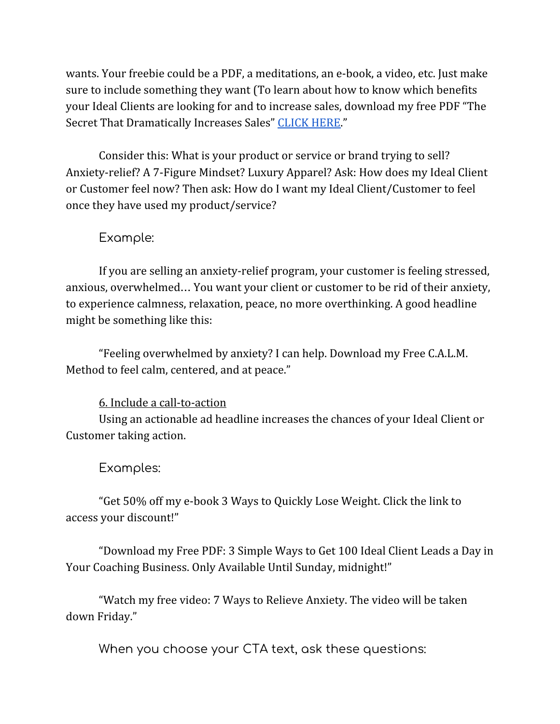wants. Your freebie could be a PDF, a meditations, an e-book, a video, etc. Just make sure to include something they want (To learn about how to know which benefits your Ideal Clients are looking for and to increase sales, download my free PDF "The Secret That Dramatically Increases Sales" [CLICK](https://www.evelynjohansen.com/thesecretleadmagnet) HERE."

Consider this: What is your product or service or brand trying to sell? Anxiety-relief? A 7-Figure Mindset? Luxury Apparel? Ask: How does my Ideal Client or Customer feel now? Then ask: How do I want my Ideal Client/Customer to feel once they have used my product/service?

#### Example:

If you are selling an anxiety-relief program, your customer is feeling stressed, anxious, overwhelmed… You want your client or customer to be rid of their anxiety, to experience calmness, relaxation, peace, no more overthinking. A good headline might be something like this:

"Feeling overwhelmed by anxiety? I can help. Download my Free C.A.L.M. Method to feel calm, centered, and at peace."

#### 6. Include a call-to-action

Using an actionable ad headline increases the chances of your Ideal Client or Customer taking action.

#### Examples:

"Get 50% off my e-book 3 Ways to Quickly Lose Weight. Click the link to access your discount!"

"Download my Free PDF: 3 Simple Ways to Get 100 Ideal Client Leads a Day in Your Coaching Business. Only Available Until Sunday, midnight!"

"Watch my free video: 7 Ways to Relieve Anxiety. The video will be taken down Friday."

When you choose your CTA text, ask these questions: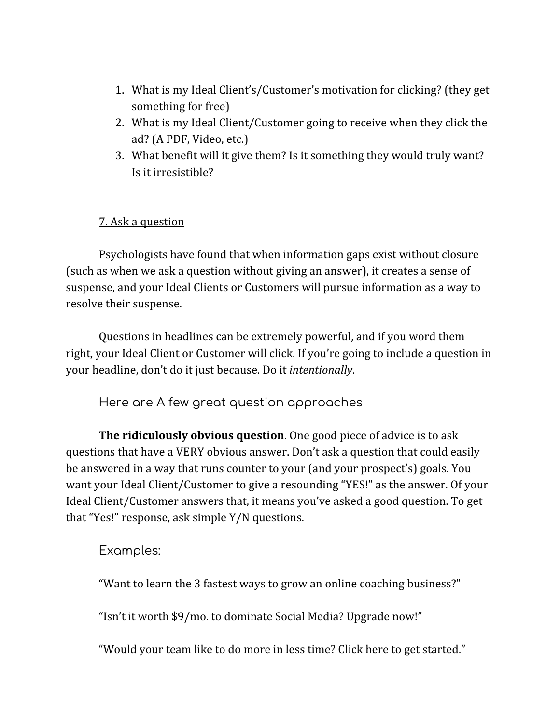- 1. What is my Ideal Client's/Customer's motivation for clicking? (they get something for free)
- 2. What is my Ideal Client/Customer going to receive when they click the ad? (A PDF, Video, etc.)
- 3. What benefit will it give them? Is it something they would truly want? Is it irresistible?

#### 7. Ask a question

Psychologists have found that when information gaps exist without closure (such as when we ask a question without giving an answer), it creates a sense of suspense, and your Ideal Clients or Customers will pursue information as a way to resolve their suspense.

Questions in headlines can be extremely powerful, and if you word them right, your Ideal Client or Customer will click. If you're going to include a question in your headline, don't do it just because. Do it *intentionally*.

Here are A few great question approaches

**The ridiculously obvious question**. One good piece of advice is to ask questions that have a VERY obvious answer. Don't ask a question that could easily be answered in a way that runs counter to your (and your prospect's) goals. You want your Ideal Client/Customer to give a resounding "YES!" as the answer. Of your Ideal Client/Customer answers that, it means you've asked a good question. To get that "Yes!" response, ask simple Y/N questions.

Examples:

"Want to learn the 3 fastest ways to grow an online coaching business?"

"Isn't it worth \$9/mo. to dominate Social Media? Upgrade now!"

"Would your team like to do more in less time? Click here to get started."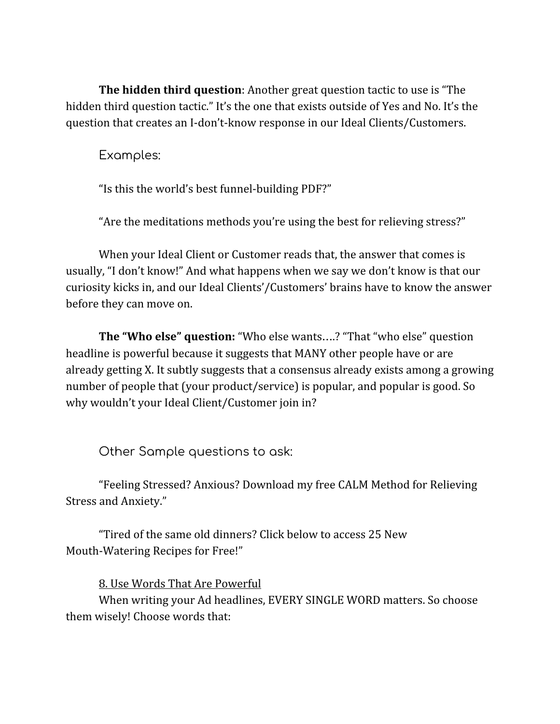**The hidden third question**: Another great question tactic to use is "The hidden third question tactic." It's the one that exists outside of Yes and No. It's the question that creates an I-don't-know response in our Ideal Clients/Customers.

Examples:

"Is this the world's best funnel-building PDF?"

"Are the meditations methods you're using the best for relieving stress?"

When your Ideal Client or Customer reads that, the answer that comes is usually, "I don't know!" And what happens when we say we don't know is that our curiosity kicks in, and our Ideal Clients'/Customers' brains have to know the answer before they can move on.

**The "Who else" question:** "Who else wants….? "That "who else" question headline is powerful because it suggests that MANY other people have or are already getting X. It subtly suggests that a consensus already exists among a growing number of people that (your product/service) is popular, and popular is good. So why wouldn't your Ideal Client/Customer join in?

Other Sample questions to ask:

"Feeling Stressed? Anxious? Download my free CALM Method for Relieving Stress and Anxiety."

"Tired of the same old dinners? Click below to access 25 New Mouth-Watering Recipes for Free!"

8. Use Words That Are Powerful

When writing your Ad headlines, EVERY SINGLE WORD matters. So choose them wisely! Choose words that: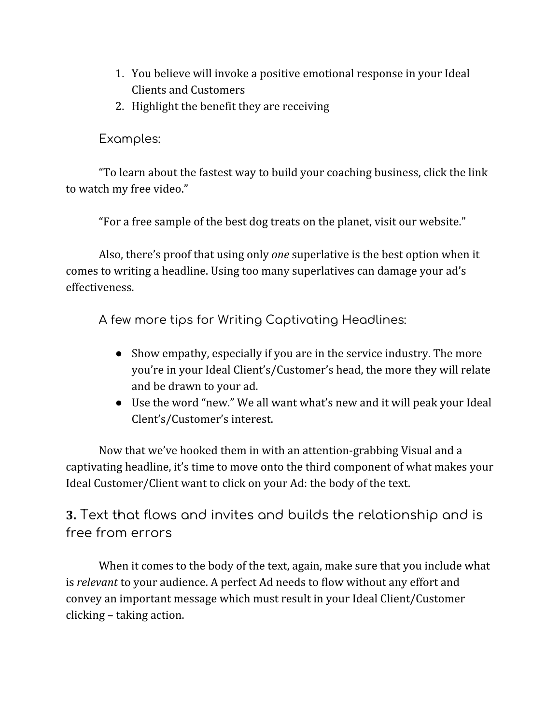- 1. You believe will invoke a positive emotional response in your Ideal Clients and Customers
- 2. Highlight the benefit they are receiving

Examples:

"To learn about the fastest way to build your coaching business, click the link to watch my free video."

"For a free sample of the best dog treats on the planet, visit our website."

Also, there's proof that using only *one* superlative is the best option when it comes to writing a headline. Using too many superlatives can damage your ad's effectiveness.

A few more tips for Writing Captivating Headlines:

- Show empathy, especially if you are in the service industry. The more you're in your Ideal Client's/Customer's head, the more they will relate and be drawn to your ad.
- Use the word "new." We all want what's new and it will peak your Ideal Clent's/Customer's interest.

Now that we've hooked them in with an attention-grabbing Visual and a captivating headline, it's time to move onto the third component of what makes your Ideal Customer/Client want to click on your Ad: the body of the text.

**3.** Text that flows and invites and builds the relationship and is free from errors

When it comes to the body of the text, again, make sure that you include what is *relevant* to your audience. A perfect Ad needs to flow without any effort and convey an important message which must result in your Ideal Client/Customer clicking – taking action.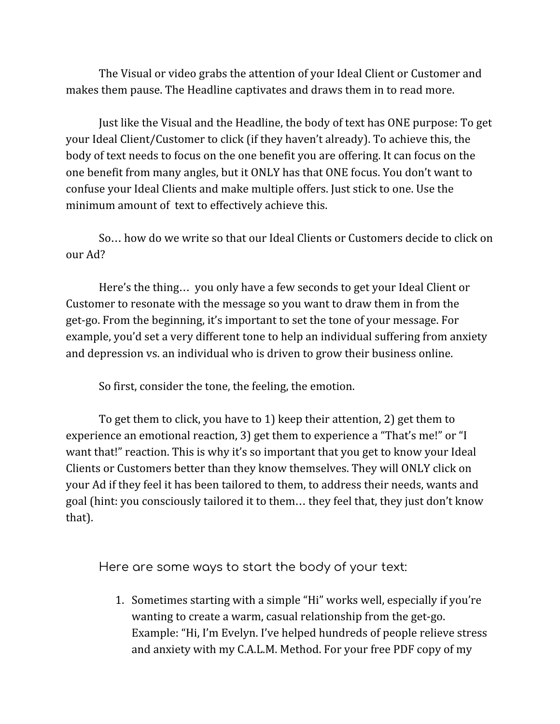The Visual or video grabs the attention of your Ideal Client or Customer and makes them pause. The Headline captivates and draws them in to read more.

Just like the Visual and the Headline, the body of text has ONE purpose: To get your Ideal Client/Customer to click (if they haven't already). To achieve this, the body of text needs to focus on the one benefit you are offering. It can focus on the one benefit from many angles, but it ONLY has that ONE focus. You don't want to confuse your Ideal Clients and make multiple offers. Just stick to one. Use the minimum amount of text to effectively achieve this.

So… how do we write so that our Ideal Clients or Customers decide to click on our Ad?

Here's the thing… you only have a few seconds to get your Ideal Client or Customer to resonate with the message so you want to draw them in from the get-go. From the beginning, it's important to set the tone of your message. For example, you'd set a very different tone to help an individual suffering from anxiety and depression vs. an individual who is driven to grow their business online.

So first, consider the tone, the feeling, the emotion.

To get them to click, you have to 1) keep their attention, 2) get them to experience an emotional reaction, 3) get them to experience a "That's me!" or "I want that!" reaction. This is why it's so important that you get to know your Ideal Clients or Customers better than they know themselves. They will ONLY click on your Ad if they feel it has been tailored to them, to address their needs, wants and goal (hint: you consciously tailored it to them… they feel that, they just don't know that).

Here are some ways to start the body of your text:

1. Sometimes starting with a simple "Hi" works well, especially if you're wanting to create a warm, casual relationship from the get-go. Example: "Hi, I'm Evelyn. I've helped hundreds of people relieve stress and anxiety with my C.A.L.M. Method. For your free PDF copy of my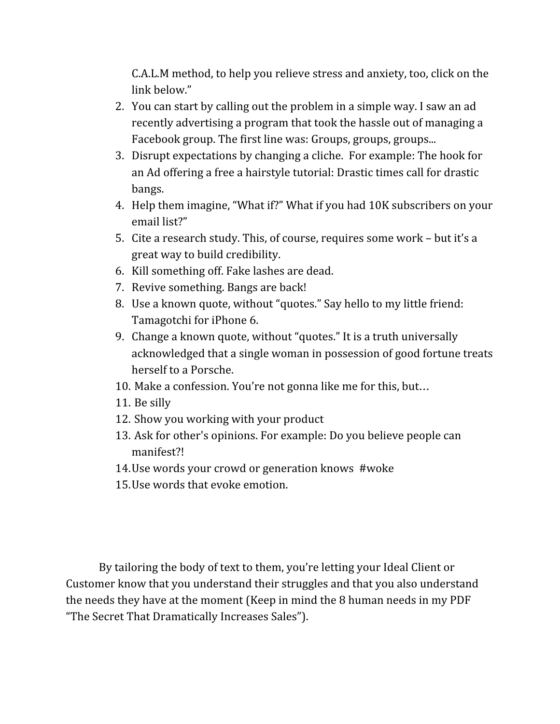C.A.L.M method, to help you relieve stress and anxiety, too, click on the link below."

- 2. You can start by calling out the problem in a simple way. I saw an ad recently advertising a program that took the hassle out of managing a Facebook group. The first line was: Groups, groups, groups...
- 3. Disrupt expectations by changing a cliche. For example: The hook for an Ad offering a free a hairstyle tutorial: Drastic times call for drastic bangs.
- 4. Help them imagine, "What if?" What if you had 10K subscribers on your email list?"
- 5. Cite a research study. This, of course, requires some work but it's a great way to build credibility.
- 6. Kill something off. Fake lashes are dead.
- 7. Revive something. Bangs are back!
- 8. Use a known quote, without "quotes." Say hello to my little friend: Tamagotchi for iPhone 6.
- 9. Change a known quote, without "quotes." It is a truth universally acknowledged that a single woman in possession of good fortune treats herself to a Porsche.
- 10. Make a confession. You're not gonna like me for this, but…
- 11. Be silly
- 12. Show you working with your product
- 13. Ask for other's opinions. For example: Do you believe people can manifest?!
- 14.Use words your crowd or generation knows #woke
- 15.Use words that evoke emotion.

By tailoring the body of text to them, you're letting your Ideal Client or Customer know that you understand their struggles and that you also understand the needs they have at the moment (Keep in mind the 8 human needs in my PDF "The Secret That Dramatically Increases Sales").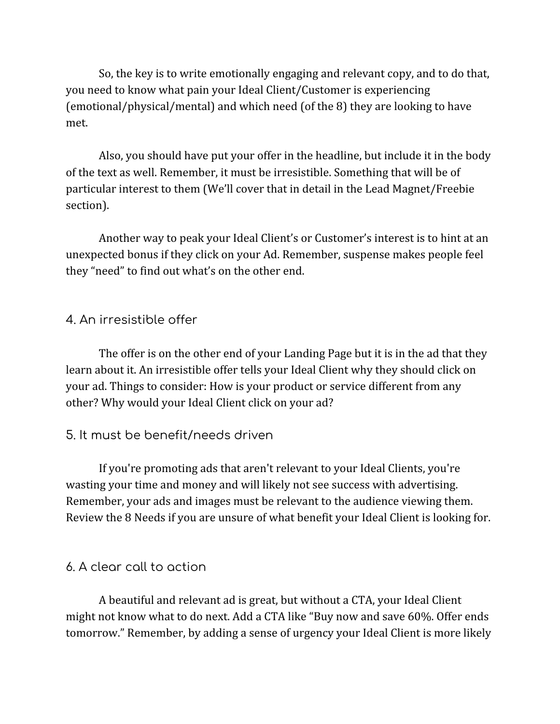So, the key is to write emotionally engaging and relevant copy, and to do that, you need to know what pain your Ideal Client/Customer is experiencing (emotional/physical/mental) and which need (of the 8) they are looking to have met.

Also, you should have put your offer in the headline, but include it in the body of the text as well. Remember, it must be irresistible. Something that will be of particular interest to them (We'll cover that in detail in the Lead Magnet/Freebie section).

Another way to peak your Ideal Client's or Customer's interest is to hint at an unexpected bonus if they click on your Ad. Remember, suspense makes people feel they "need" to find out what's on the other end.

#### 4. An irresistible offer

The offer is on the other end of your Landing Page but it is in the ad that they learn about it. An irresistible offer tells your Ideal Client why they should click on your ad. Things to consider: How is your product or service different from any other? Why would your Ideal Client click on your ad?

#### 5. It must be benefit/needs driven

If you're promoting ads that aren't relevant to your Ideal Clients, you're wasting your time and money and will likely not see success with advertising. Remember, your ads and images must be relevant to the audience viewing them. Review the 8 Needs if you are unsure of what benefit your Ideal Client is looking for.

#### 6. A clear call to action

A beautiful and relevant ad is great, but without a CTA, your Ideal Client might not know what to do next. Add a CTA like "Buy now and save 60%. Offer ends tomorrow." Remember, by adding a sense of urgency your Ideal Client is more likely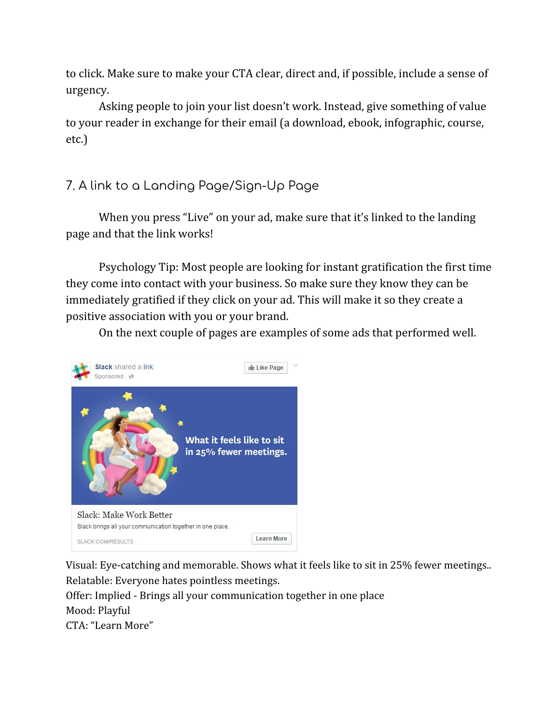to click. Make sure to make your CTA clear, direct and, if possible, include a sense of urgency.

Asking people to join your list doesn't work. Instead, give something of value to your reader in exchange for their email (a download, ebook, infographic, course, etc.)

# 7. A link to a Landing Page/Sign-Up Page

When you press "Live" on your ad, make sure that it's linked to the landing page and that the link works!

Psychology Tip: Most people are looking for instant gratification the first time they come into contact with your business. So make sure they know they can be immediately gratified if they click on your ad. This will make it so they create a positive association with you or your brand.

On the next couple of pages are examples of some ads that performed well.



Visual: Eye-catching and memorable. Shows what it feels like to sit in 25% fewer meetings.. Relatable: Everyone hates pointless meetings.

Offer: Implied - Brings all your communication together in one place Mood: Playful CTA: "Learn More"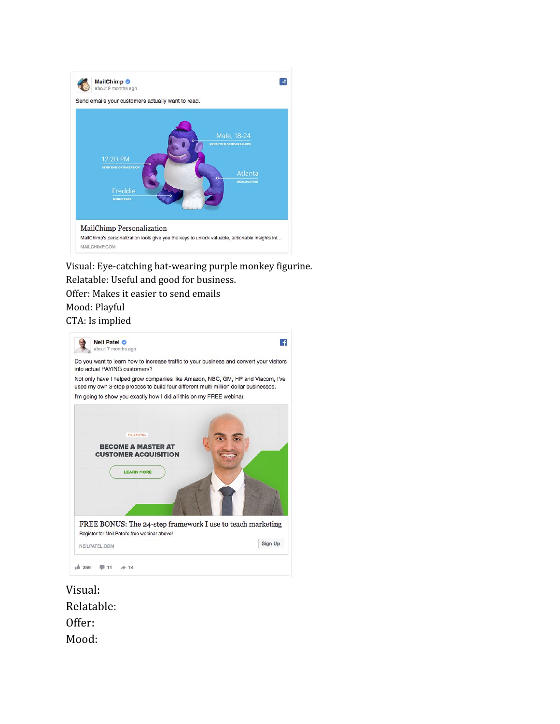

Visual: Eye-catching hat-wearing purple monkey figurine. Relatable: Useful and good for business.

Offer: Makes it easier to send emails

#### Mood: Playful

#### CTA: Is implied



Visual: Relatable: Offer: Mood: